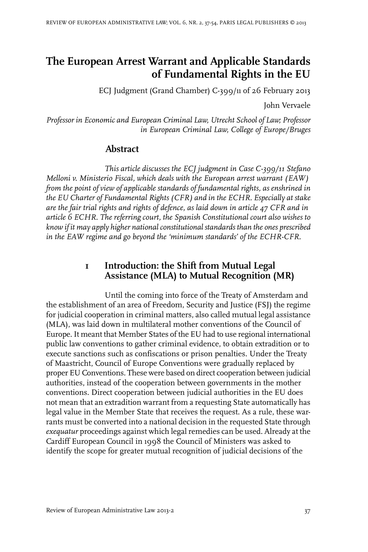# **The European Arrest Warrant and Applicable Standards of Fundamental Rights in the EU**

ECJ Judgment (Grand Chamber) C-399/11 of 26 February 2013

John Vervaele

*Professor in Economic and European Criminal Law, Utrecht School of Law; Professor in European Criminal Law, College of Europe/Bruges*

#### **Abstract**

*This article discusses the ECJ judgment in Case C-399/11 Stefano Melloni v. Ministerio Fiscal, which deals with the European arrest warrant (EAW) from the point of view of applicable standards of fundamental rights, as enshrined in the EU Charter of Fundamental Rights (CFR) and in the ECHR. Especially at stake are the fair trial rights and rights of defence, as laid down in article 47 CFR and in article 6 ECHR. The referring court, the Spanish Constitutional court also wishes to know if it may apply higher national constitutional standards than the ones prescribed in the EAW regime and go beyond the 'minimum standards' of the ECHR-CFR.*

## **1 Introduction: the Shift from Mutual Legal Assistance (MLA) to Mutual Recognition (MR)**

Until the coming into force of the Treaty of Amsterdam and the establishment of an area of Freedom, Security and Justice (FSJ) the regime for judicial cooperation in criminal matters, also called mutual legal assistance (MLA), was laid down in multilateral mother conventions of the Council of Europe.It meant that Member States of the EU had to use regional international public law conventions to gather criminal evidence, to obtain extradition or to execute sanctions such as confiscations or prison penalties. Under the Treaty of Maastricht, Council of Europe Conventions were gradually replaced by proper EU Conventions. These were based on direct cooperation between judicial authorities, instead of the cooperation between governments in the mother conventions. Direct cooperation between judicial authorities in the EU does not mean that an extradition warrant from a requesting State automatically has legal value in the Member State that receives the request. As a rule, these warrants must be converted into a national decision in the requested State through *exequatur* proceedings against which legal remedies can be used. Already at the Cardiff European Council in 1998 the Council of Ministers was asked to identify the scope for greater mutual recognition of judicial decisions of the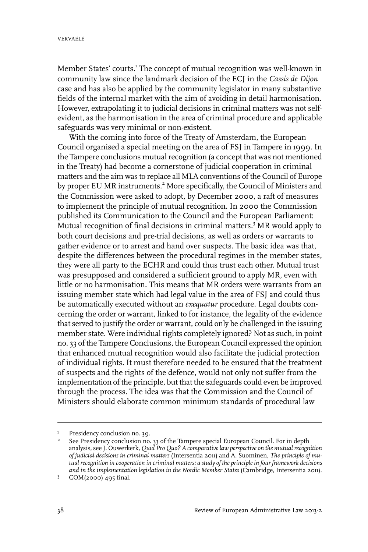Member States' courts.<sup>1</sup> The concept of mutual recognition was well-known in community law since the landmark decision of the ECJ in the *Cassis de Dijon* case and has also be applied by the community legislator in many substantive fields of the internal market with the aim of avoiding in detail harmonisation. However, extrapolating it to judicial decisions in criminal matters was not selfevident, as the harmonisation in the area of criminal procedure and applicable safeguards was very minimal or non-existent.

With the coming into force of the Treaty of Amsterdam, the European Council organised a special meeting on the area of FSJ in Tampere in 1999. In the Tampere conclusions mutual recognition (a concept that was not mentioned in the Treaty) had become a cornerstone of judicial cooperation in criminal matters and the aim was to replace all MLA conventions of the Council of Europe by proper EU MR instruments.<sup>2</sup> More specifically, the Council of Ministers and the Commission were asked to adopt, by December 2000, a raft of measures to implement the principle of mutual recognition. In 2000 the Commission published its Communication to the Council and the European Parliament: Mutual recognition of final decisions in criminal matters.<sup>3</sup> MR would apply to both court decisions and pre-trial decisions, as well as orders or warrants to gather evidence or to arrest and hand over suspects. The basic idea was that, despite the differences between the procedural regimes in the member states, they were all party to the ECHR and could thus trust each other. Mutual trust was presupposed and considered a sufficient ground to apply MR, even with little or no harmonisation. This means that MR orders were warrants from an issuing member state which had legal value in the area of FSJ and could thus be automatically executed without an *exequatur* procedure. Legal doubts concerning the order or warrant, linked to for instance, the legality of the evidence that served to justify the order or warrant, could only be challenged in the issuing member state. Were individual rights completely ignored? Not as such, in point no. 33 of the Tampere Conclusions, the European Council expressed the opinion that enhanced mutual recognition would also facilitate the judicial protection of individual rights. It must therefore needed to be ensured that the treatment of suspects and the rights of the defence, would not only not suffer from the implementation of the principle, but that the safeguards could even be improved through the process. The idea was that the Commission and the Council of Ministers should elaborate common minimum standards of procedural law

Presidency conclusion no. 39.

See Presidency conclusion no. 33 of the Tampere special European Council. For in depth analysis, see J. Ouwerkerk, *Quid Pro Quo? A comparativelaw perspective on the mutual recognition* 2 *of judicial decisions in criminal matters* (Intersentia 2011) and A. Suominen, *The principle of mutual recognition in cooperation in criminal matters: a study of the principlein four framework decisions and in the implementation legislation in the Nordic Member States* (Cambridge,Intersentia 2011).

 $3$  COM(2000) 495 final.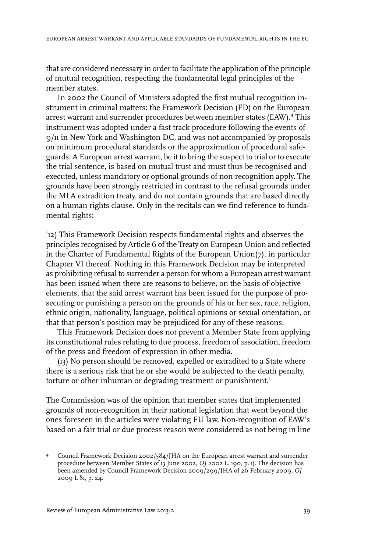that are considered necessary in order to facilitate the application of the principle of mutual recognition, respecting the fundamental legal principles of the member states.

In 2002 the Council of Ministers adopted the first mutual recognition instrument in criminal matters: the Framework Decision (FD) on the European arrest warrant and surrender procedures between member states (EAW).<sup>4</sup> This instrument was adopted under a fast track procedure following the events of 9/11 in New York and Washington DC, and was not accompanied by proposals on minimum procedural standards or the approximation of procedural safeguards. A European arrest warrant, be it to bring the suspect to trial or to execute the trial sentence, is based on mutual trust and must thus be recognised and executed, unless mandatory or optional grounds of non-recognition apply. The grounds have been strongly restricted in contrast to the refusal grounds under the MLA extradition treaty, and do not contain grounds that are based directly on a human rights clause. Only in the recitals can we find reference to fundamental rights:

'12) This Framework Decision respects fundamental rights and observes the principles recognised by Article 6 of the Treaty on European Union and reflected in the Charter of Fundamental Rights of the European Union(7), in particular Chapter VI thereof. Nothing in this Framework Decision may be interpreted as prohibiting refusal to surrender a person for whom a European arrest warrant has been issued when there are reasons to believe, on the basis of objective elements, that the said arrest warrant has been issued for the purpose of prosecuting or punishing a person on the grounds of his or her sex, race, religion, ethnic origin, nationality, language, political opinions or sexual orientation, or that that person's position may be prejudiced for any of these reasons.

This Framework Decision does not prevent a Member State from applying its constitutional rules relating to due process, freedom of association, freedom of the press and freedom of expression in other media.

(13) No person should be removed, expelled or extradited to a State where there is a serious risk that he or she would be subjected to the death penalty, torture or other inhuman or degrading treatment or punishment.'

The Commission was of the opinion that member states that implemented grounds of non-recognition in their national legislation that went beyond the ones foreseen in the articles were violating EU law. Non-recognition of EAW's based on a fair trial or due process reason were considered as not being in line

Council Framework Decision 2002/584/JHA on the European arrest warrant and surrender 4 procedure between Member States of 13 June 2002, *OJ* 2002 L. 190, p. 1). The decision has been amended by Council Framework Decision 2009/299/JHA of 26 February 2009, *OJ* 2009 L 81, p. 24.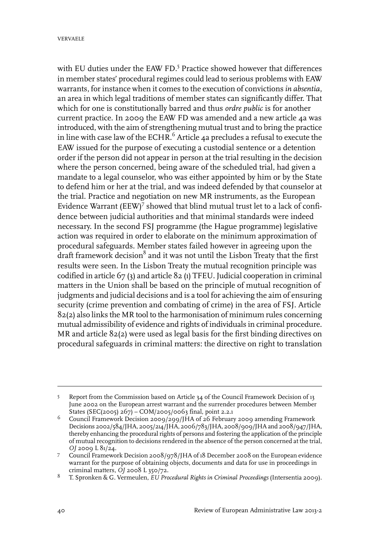with EU duties under the EAW FD.<sup>5</sup> Practice showed however that differences in member states' procedural regimes could lead to serious problems with EAW warrants, forinstance when it comes to the execution of convictions *in absentia*, an area in which legal traditions of member states can significantly differ. That which for one is constitutionally barred and thus *ordre public* is for another current practice. In 2009 the EAW FD was amended and a new article 4a was introduced, with the aim of strengthening mutual trust and to bring the practice in line with case law of the ECHR.<sup>6</sup> Article 4a precludes a refusal to execute the EAW issued for the purpose of executing a custodial sentence or a detention order if the person did not appear in person at the trial resulting in the decision where the person concerned, being aware of the scheduled trial, had given a mandate to a legal counselor, who was either appointed by him or by the State to defend him or her at the trial, and was indeed defended by that counselor at the trial. Practice and negotiation on new MR instruments, as the European Evidence Warrant ( $EEW$ )<sup>7</sup> showed that blind mutual trust let to a lack of confidence between judicial authorities and that minimal standards were indeed necessary. In the second FSJ programme (the Hague programme) legislative action was required in order to elaborate on the minimum approximation of procedural safeguards. Member states failed however in agreeing upon the draft framework decision $^8$  and it was not until the Lisbon Treaty that the first results were seen. In the Lisbon Treaty the mutual recognition principle was codified in article 67 (3) and article 82 (1) TFEU. Judicial cooperation in criminal matters in the Union shall be based on the principle of mutual recognition of judgments and judicial decisions and is a tool for achieving the aim of ensuring security (crime prevention and combating of crime) in the area of FSJ. Article 82(2) also links the MR tool to the harmonisation of minimum rules concerning mutual admissibility of evidence and rights of individuals in criminal procedure. MR and article 82(2) were used as legal basis for the first binding directives on procedural safeguards in criminal matters: the directive on right to translation

Report from the Commission based on Article 34 of the Council Framework Decision of 13 June 2002 on the European arrest warrant and the surrender procedures between Member States (SEC(2005) 267) – COM/2005/0063 final, point 2.2.1 5

Council Framework Decision 2009/299/JHA of 26 February 2009 amending Framework Decisions 2002/584/JHA, 2005/214/JHA, 2006/783/JHA, 2008/909/JHAand 2008/947/JHA, 6 thereby enhancing the procedural rights of persons and fostering the application of the principle of mutual recognition to decisions rendered in the absence of the person concerned at the trial, *OJ* 2009 L 81/24.

Council Framework Decision 2008/978/JHA of 18 December 2008 on the European evidence warrant for the purpose of obtaining objects, documents and data for use in proceedings in criminal matters, *OJ* 2008 L 350/72. 7

T. Spronken & G. Vermeulen, *EU Procedural Rights in Criminal Proceedings* (Intersentia 2009). <sup>8</sup>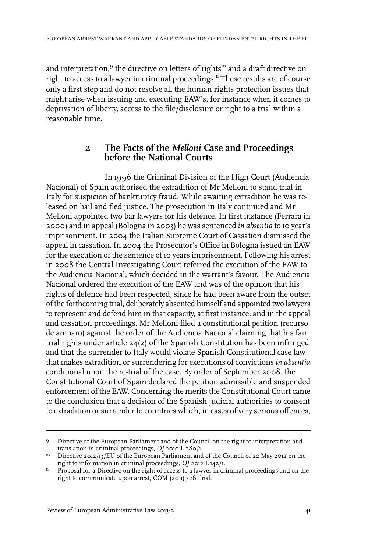and interpretation, $^9$  the directive on letters of rights $^{\mathsf{lo}}$  and a draft directive on right to access to a lawyer in criminal proceedings.<sup>11</sup> These results are of course only a first step and do not resolve all the human rights protection issues that might arise when issuing and executing EAW's, for instance when it comes to deprivation of liberty, access to the file/disclosure or right to a trial within a reasonable time.

#### **2 The Facts of the** *Melloni* **Case and Proceedings before the National Courts**

In 1996 the Criminal Division of the High Court (Audiencia Nacional) of Spain authorised the extradition of Mr Melloni to stand trial in Italy for suspicion of bankruptcy fraud. While awaiting extradition he was released on bail and fled justice. The prosecution in Italy continued and Mr Melloni appointed two bar lawyers for his defence. In first instance (Ferrara in 2000) and in appeal (Bologna in 2003) he was sentenced *in absentia* to 10 year's imprisonment. In 2004 the Italian Supreme Court of Cassation dismissed the appeal in cassation. In 2004 the Prosecutor's Office in Bologna issued an EAW for the execution of the sentence of 10 years imprisonment. Following his arrest in 2008 the Central Investigating Court referred the execution of the EAW to the Audiencia Nacional, which decided in the warrant's favour. The Audiencia Nacional ordered the execution of the EAW and was of the opinion that his rights of defence had been respected, since he had been aware from the outset of the forthcoming trial, deliberately absented himself and appointed two lawyers to represent and defend him in that capacity, at first instance, and in the appeal and cassation proceedings. Mr Melloni filed a constitutional petition (recurso de amparo) against the order of the Audiencia Nacional claiming that his fair trial rights under article 24(2) of the Spanish Constitution has been infringed and that the surrender to Italy would violate Spanish Constitutional case law that makes extradition or surrendering for executions of convictions *in absentia* conditional upon the re-trial of the case. By order of September 2008, the Constitutional Court of Spain declared the petition admissible and suspended enforcement of the EAW. Concerning the merits the Constitutional Court came to the conclusion that a decision of the Spanish judicial authorities to consent to extradition or surrender to countries which, in cases of very serious offences,

Directive of the European Parliament and of the Council on the right to interpretation and translation in criminal proceedings, *OJ* 2010 L 280/1. 9

<sup>&</sup>lt;sup>10</sup> Directive 2012/13/EU of the European Parliament and of the Council of 22 May 2012 on the right to information in criminal proceedings, *OJ* 2012 L 142/1.

Proposal for a Directive on the right of access to a lawyer in criminal proceedings and on the right to communicate upon arrest, COM (2011) 326 final. 11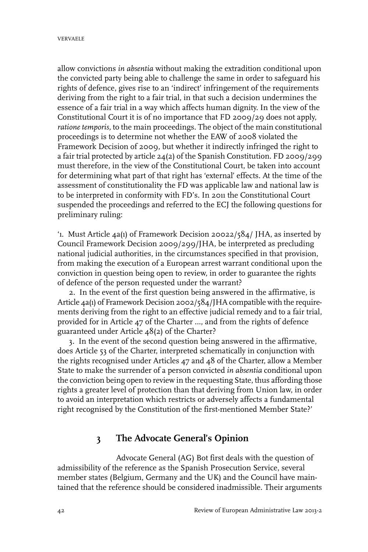allow convictions *in absentia* without making the extradition conditional upon the convicted party being able to challenge the same in order to safeguard his rights of defence, gives rise to an 'indirect' infringement of the requirements deriving from the right to a fair trial, in that such a decision undermines the essence of a fair trial in a way which affects human dignity. In the view of the Constitutional Court it is of no importance that FD 2009/29 does not apply, *ratione temporis,* to the main proceedings. The object of the main constitutional proceedings is to determine not whether the EAW of 2008 violated the Framework Decision of 2009, but whether it indirectly infringed the right to a fair trial protected by article 24(2) of the Spanish Constitution. FD 2009/299 must therefore, in the view of the Constitutional Court, be taken into account for determining what part of that right has 'external' effects. At the time of the assessment of constitutionality the FD was applicable law and national law is to be interpreted in conformity with FD's. In 2011 the Constitutional Court suspended the proceedings and referred to the ECJ the following questions for preliminary ruling:

'1. Must Article 4a(1) of Framework Decision 20022/584/ JHA, as inserted by Council Framework Decision 2009/299/JHA, be interpreted as precluding national judicial authorities, in the circumstances specified in that provision, from making the execution of a European arrest warrant conditional upon the conviction in question being open to review, in order to guarantee the rights of defence of the person requested under the warrant?

2. In the event of the first question being answered in the affirmative, is Article 4a(1) of Framework Decision 2002/584/JHA compatible with the requirements deriving from the right to an effective judicial remedy and to a fair trial, provided for in Article 47 of the Charter …, and from the rights of defence guaranteed under Article 48(2) of the Charter?

3. In the event of the second question being answered in the affirmative, does Article 53 of the Charter, interpreted schematically in conjunction with the rights recognised under Articles 47 and 48 of the Charter, allow a Member State to make the surrender of a person convicted *in absentia* conditional upon the conviction being open to review in the requesting State, thus affording those rights a greater level of protection than that deriving from Union law, in order to avoid an interpretation which restricts or adversely affects a fundamental right recognised by the Constitution of the first-mentioned Member State?'

## **3 The Advocate General's Opinion**

Advocate General (AG) Bot first deals with the question of admissibility of the reference as the Spanish Prosecution Service, several member states (Belgium, Germany and the UK) and the Council have maintained that the reference should be considered inadmissible. Their arguments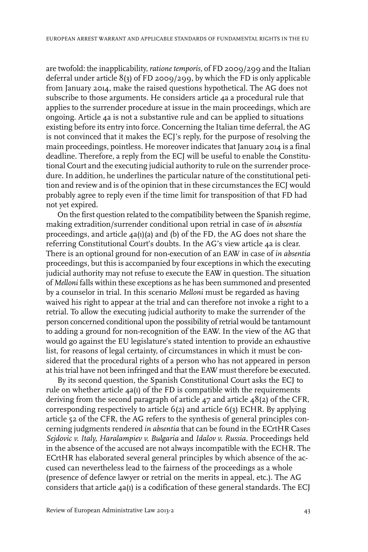are twofold: the inapplicability, *ratione temporis,* of FD 2009/299 and the Italian deferral under article 8(3) of FD 2009/299, by which the FD is only applicable from January 2014, make the raised questions hypothetical. The AG does not subscribe to those arguments. He considers article 4a a procedural rule that applies to the surrender procedure at issue in the main proceedings, which are ongoing. Article 4a is not a substantive rule and can be applied to situations existing before its entry into force. Concerning the Italian time deferral, the AG is not convinced that it makes the ECJ's reply, for the purpose of resolving the main proceedings, pointless. He moreover indicates that January 2014 is a final deadline. Therefore, a reply from the ECJ will be useful to enable the Constitutional Court and the executing judicial authority to rule on the surrender procedure. In addition, he underlines the particular nature of the constitutional petition and review and is of the opinion that in these circumstances the ECJ would probably agree to reply even if the time limit for transposition of that FD had not yet expired.

On the first question related to the compatibility between the Spanish regime, making extradition/surrender conditional upon retrial in case of *in absentia* proceedings, and article 4a(1)(a) and (b) of the FD, the AG does not share the referring Constitutional Court's doubts. In the AG's view article 4a is clear. There is an optional ground for non-execution of an EAW in case of *in absentia* proceedings, but this is accompanied by four exceptions in which the executing judicial authority may not refuse to execute the EAW in question. The situation of *Melloni* falls within these exceptions as he has been summoned and presented by a counselor in trial. In this scenario *Melloni* must be regarded as having waived his right to appear at the trial and can therefore not invoke a right to a retrial. To allow the executing judicial authority to make the surrender of the person concerned conditional upon the possibility of retrial would be tantamount to adding a ground for non-recognition of the EAW. In the view of the AG that would go against the EU legislature's stated intention to provide an exhaustive list, for reasons of legal certainty, of circumstances in which it must be considered that the procedural rights of a person who has not appeared in person at his trial have not been infringed and that the EAW must therefore be executed.

By its second question, the Spanish Constitutional Court asks the ECJ to rule on whether article 4a(1) of the FD is compatible with the requirements deriving from the second paragraph of article 47 and article 48(2) of the CFR, corresponding respectively to article 6(2) and article 6(3) ECHR. By applying article 52 of the CFR, the AG refers to the synthesis of general principles concerning judgments rendered *in absentia* that can be found in the ECrtHR Cases *Sejdovic v. Italy, Haralampiev v. Bulgaria* and *Idalov v. Russia*. Proceedings held in the absence of the accused are not always incompatible with the ECHR. The ECrtHR has elaborated several general principles by which absence of the accused can nevertheless lead to the fairness of the proceedings as a whole (presence of defence lawyer or retrial on the merits in appeal, etc.). The AG considers that article 4a(1) is a codification of these general standards. The ECJ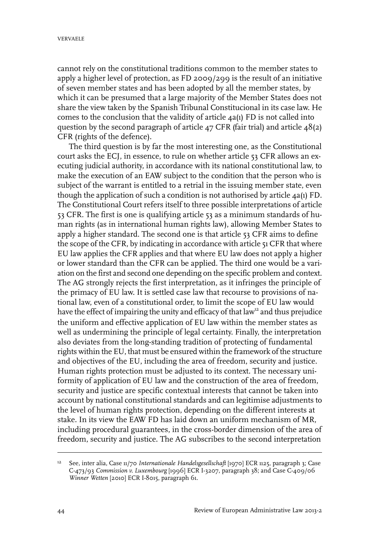cannot rely on the constitutional traditions common to the member states to apply a higher level of protection, as FD 2009/299 is the result of an initiative of seven member states and has been adopted by all the member states, by which it can be presumed that a large majority of the Member States does not share the view taken by the Spanish Tribunal Constitucional in its case law. He comes to the conclusion that the validity of article 4a(1) FD is not called into question by the second paragraph of article  $47$  CFR (fair trial) and article  $48(2)$ CFR (rights of the defence).

The third question is by far the most interesting one, as the Constitutional court asks the ECJ, in essence, to rule on whether article 53 CFR allows an executing judicial authority, in accordance with its national constitutional law, to make the execution of an EAW subject to the condition that the person who is subject of the warrant is entitled to a retrial in the issuing member state, even though the application of such a condition is not authorised by article 4a(1) FD. The Constitutional Court refers itself to three possible interpretations of article 53 CFR. The first is one is qualifying article 53 as a minimum standards of human rights (as in international human rights law), allowing Member States to apply a higher standard. The second one is that article 53 CFR aims to define the scope of the CFR, by indicating in accordance with article 51 CFR that where EU law applies the CFR applies and that where EU law does not apply a higher or lower standard than the CFR can be applied. The third one would be a variation on the first and second one depending on the specific problem and context. The AG strongly rejects the first interpretation, as it infringes the principle of the primacy of EU law. It is settled case law that recourse to provisions of national law, even of a constitutional order, to limit the scope of EU law would have the effect of impairing the unity and efficacy of that law<sup>12</sup> and thus prejudice the uniform and effective application of EU law within the member states as well as undermining the principle of legal certainty. Finally, the interpretation also deviates from the long-standing tradition of protecting of fundamental rights within the EU, that must be ensured within the framework of the structure and objectives of the EU, including the area of freedom, security and justice. Human rights protection must be adjusted to its context. The necessary uniformity of application of EU law and the construction of the area of freedom, security and justice are specific contextual interests that cannot be taken into account by national constitutional standards and can legitimise adjustments to the level of human rights protection, depending on the different interests at stake. In its view the EAW FD has laid down an uniform mechanism of MR, including procedural guarantees, in the cross-border dimension of the area of freedom, security and justice. The AG subscribes to the second interpretation

<sup>&</sup>lt;sup>12</sup> See, inter alia, Case 11/70 *Internationale Handelsgesellschaft* [1970] ECR 1125, paragraph 3; Case C-473/93 *Commission v. Luxembourg* [1996] ECR I-3207, paragraph 38; and Case C-409/06 *Winner Wetten* [2010] ECR I-8015, paragraph 61.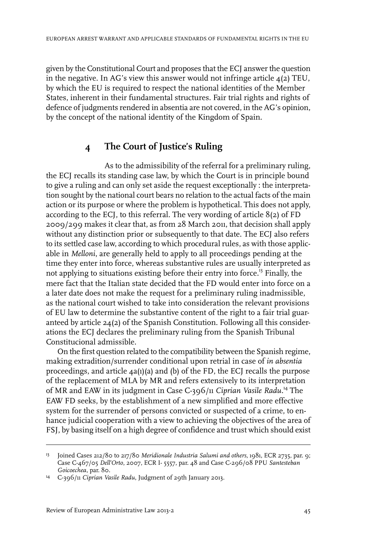given by the Constitutional Court and proposes that the ECJ answerthe question in the negative. In AG's view this answer would not infringe article 4(2) TEU, by which the EU is required to respect the national identities of the Member States, inherent in their fundamental structures. Fair trial rights and rights of defence of judgments rendered in absentia are not covered, in the AG's opinion, by the concept of the national identity of the Kingdom of Spain.

## **4 The Court of Justice's Ruling**

As to the admissibility of the referral for a preliminary ruling, the ECJ recalls its standing case law, by which the Court is in principle bound to give a ruling and can only set aside the request exceptionally : the interpretation sought by the national court bears no relation to the actual facts of the main action or its purpose or where the problem is hypothetical. This does not apply, according to the ECJ, to this referral. The very wording of article 8(2) of FD 2009/299 makes it clear that, as from 28 March 2011, that decision shall apply without any distinction prior or subsequently to that date. The ECJ also refers to its settled case law, according to which procedural rules, as with those applicable in *Melloni*, are generally held to apply to all proceedings pending at the time they enter into force, whereas substantive rules are usually interpreted as not applying to situations existing before their entry into force.<sup>13</sup> Finally, the mere fact that the Italian state decided that the FD would enter into force on a a later date does not make the request for a preliminary ruling inadmissible, as the national court wished to take into consideration the relevant provisions of EU law to determine the substantive content of the right to a fair trial guaranteed by article 24(2) of the Spanish Constitution. Following all this considerations the ECJ declares the preliminary ruling from the Spanish Tribunal Constitucional admissible.

On the first question related to the compatibility between the Spanish regime, making extradition/surrender conditional upon retrial in case of *in absentia* proceedings, and article 4a(1)(a) and (b) of the FD, the ECJ recalls the purpose of the replacement of MLA by MR and refers extensively to its interpretation of MR and EAW in its judgment in Case C-396/11 *Ciprian Vasile Radu.*<sup>14</sup> The EAW FD seeks, by the establishment of a new simplified and more effective system for the surrender of persons convicted or suspected of a crime, to enhance judicial cooperation with a view to achieving the objectives of the area of FSJ, by basing itself on a high degree of confidence and trust which should exist

<sup>&</sup>lt;sup>13</sup> Joined Cases 212/80 to 217/80 *Meridionale Industria Salumi and others*, 1981, ECR 2735, par. 9; Case C-467/05 *Dell'Orto*, 2007, ECR I- 5557, par. 48 and Case C-296/08 PPU *Santesteban Goicoechea*, par. 80.

<sup>&</sup>lt;sup>14</sup> C-396/11 *Ciprian Vasile Radu*, Judgment of 29th January 2013.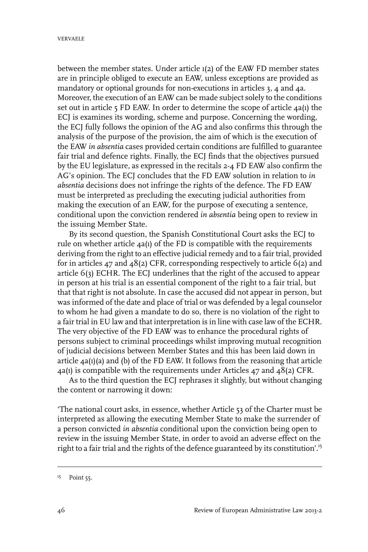between the member states. Under article 1(2) of the EAW FD member states are in principle obliged to execute an EAW, unless exceptions are provided as mandatory or optional grounds for non-executions in articles 3, 4 and 4a. Moreover, the execution of an EAW can be made subject solely to the conditions set out in article 5 FD EAW. In order to determine the scope of article 4a(1) the ECJ is examines its wording, scheme and purpose. Concerning the wording, the ECJ fully follows the opinion of the AG and also confirms this through the analysis of the purpose of the provision, the aim of which is the execution of the EAW *in absentia* cases provided certain conditions are fulfilled to guarantee fair trial and defence rights. Finally, the ECJ finds that the objectives pursued by the EU legislature, as expressed in the recitals 2-4 FD EAW also confirm the AG's opinion. The ECJ concludes that the FD EAW solution in relation to *in absentia* decisions does not infringe the rights of the defence. The FD EAW must be interpreted as precluding the executing judicial authorities from making the execution of an EAW, for the purpose of executing a sentence, conditional upon the conviction rendered *in absentia* being open to review in the issuing Member State.

By its second question, the Spanish Constitutional Court asks the ECJ to rule on whether article 4a(1) of the FD is compatible with the requirements deriving from the right to an effective judicial remedy and to a fair trial, provided for in articles 47 and 48(2) CFR, corresponding respectively to article 6(2) and article 6(3) ECHR. The ECJ underlines that the right of the accused to appear in person at his trial is an essential component of the right to a fair trial, but that that right is not absolute. In case the accused did not appear in person, but was informed of the date and place of trial or was defended by a legal counselor to whom he had given a mandate to do so, there is no violation of the right to a fair trial in EU law and that interpretation is in line with case law of the ECHR. The very objective of the FD EAW was to enhance the procedural rights of persons subject to criminal proceedings whilst improving mutual recognition of judicial decisions between Member States and this has been laid down in article 4a(1)(a) and (b) of the FD EAW. It follows from the reasoning that article 4a(1) is compatible with the requirements under Articles 47 and 48(2) CFR.

As to the third question the ECJ rephrases it slightly, but without changing the content or narrowing it down:

'The national court asks, in essence, whether Article 53 of the Charter must be interpreted as allowing the executing Member State to make the surrender of a person convicted *in absentia* conditional upon the conviction being open to review in the issuing Member State, in order to avoid an adverse effect on the right to a fair trial and the rights of the defence guaranteed by its constitution'.<sup>15</sup>

<sup>&</sup>lt;sup>15</sup> Point 55.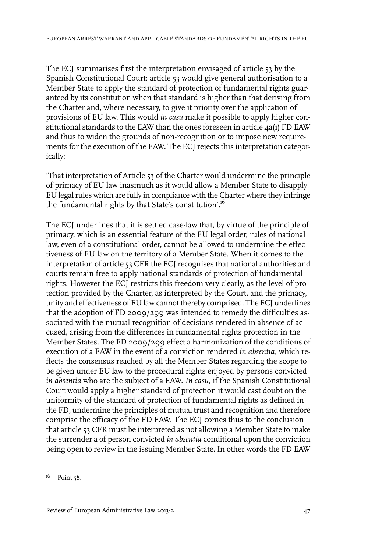The ECJ summarises first the interpretation envisaged of article 53 by the Spanish Constitutional Court: article 53 would give general authorisation to a Member State to apply the standard of protection of fundamental rights guaranteed by its constitution when that standard is higher than that deriving from the Charter and, where necessary, to give it priority over the application of provisions of EU law. This would *in casu* make it possible to apply higher constitutional standards to the EAW than the ones foreseen in article 4a(1) FD EAW and thus to widen the grounds of non-recognition or to impose new requirements for the execution of the EAW. The ECJ rejects this interpretation categorically:

'That interpretation of Article 53 of the Charter would undermine the principle of primacy of EU law inasmuch as it would allow a Member State to disapply EU legal rules which are fully in compliance with the Charter where they infringe the fundamental rights by that State's constitution'.<sup>16</sup>

The ECJ underlines that it is settled case-law that, by virtue of the principle of primacy, which is an essential feature of the EU legal order, rules of national law, even of a constitutional order, cannot be allowed to undermine the effectiveness of EU law on the territory of a Member State. When it comes to the interpretation of article 53 CFR the ECJ recognises that national authorities and courts remain free to apply national standards of protection of fundamental rights. However the ECJ restricts this freedom very clearly, as the level of protection provided by the Charter, as interpreted by the Court, and the primacy, unity and effectiveness of EU law cannot thereby comprised. The ECJ underlines that the adoption of FD 2009/299 was intended to remedy the difficulties associated with the mutual recognition of decisions rendered in absence of accused, arising from the differences in fundamental rights protection in the Member States. The FD 2009/299 effect a harmonization of the conditions of execution of a EAW in the event of a conviction rendered *in absentia*, which reflects the consensus reached by all the Member States regarding the scope to be given under EU law to the procedural rights enjoyed by persons convicted *in absentia* who are the subject of a EAW. *In casu,* if the Spanish Constitutional Court would apply a higher standard of protection it would cast doubt on the uniformity of the standard of protection of fundamental rights as defined in the FD, undermine the principles of mutual trust and recognition and therefore comprise the efficacy of the FD EAW. The ECJ comes thus to the conclusion that article 53 CFR must be interpreted as not allowing a Member State to make the surrender a of person convicted *in absentia* conditional upon the conviction being open to review in the issuing Member State. In other words the FD EAW

 $16$  Point  $58$ .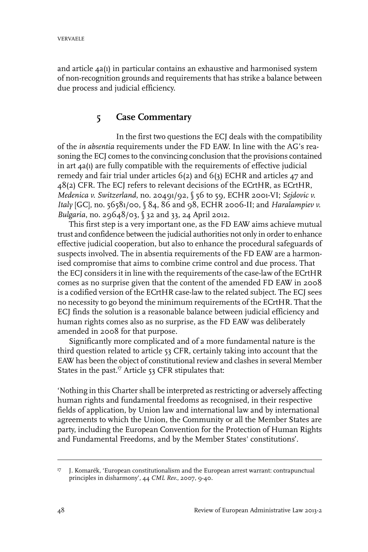and article 4a(1) in particular contains an exhaustive and harmonised system of non-recognition grounds and requirements that has strike a balance between due process and judicial efficiency.

## **5 Case Commentary**

In the first two questions the ECJ deals with the compatibility of the *in absentia* requirements under the FD EAW. In line with the AG's reasoning the ECJ comes to the convincing conclusion that the provisions contained in art 4a(1) are fully compatible with the requirements of effective judicial remedy and fair trial under articles 6(2) and 6(3) ECHR and articles 47 and 48(2) CFR. The ECJ refers to relevant decisions of the ECrtHR, as ECrtHR, *Medenica v. Switzerland*, no. 20491/92, § 56 to 59, ECHR 2001-VI; *Sejdovic v. Italy* [GC], no. 56581/00, § 84, 86 and 98, ECHR 2006-II; and *Haralampiev v. Bulgaria*, no. 29648/03, § 32 and 33, 24 April 2012.

This first step is a very important one, as the FD EAW aims achieve mutual trust and confidence between the judicial authorities not only in order to enhance effective judicial cooperation, but also to enhance the procedural safeguards of suspects involved. The in absentia requirements of the FD EAW are a harmonised compromise that aims to combine crime control and due process. That the ECJ considers it in line with the requirements of the case-law of the ECrtHR comes as no surprise given that the content of the amended FD EAW in 2008 is a codified version of the ECrtHR case-law to the related subject. The ECJ sees no necessity to go beyond the minimum requirements of the ECrtHR. That the ECJ finds the solution is a reasonable balance between judicial efficiency and human rights comes also as no surprise, as the FD EAW was deliberately amended in 2008 for that purpose.

Significantly more complicated and of a more fundamental nature is the third question related to article 53 CFR, certainly taking into account that the EAW has been the object of constitutional review and clashes in several Member States in the past.<sup>17</sup> Article 53 CFR stipulates that:

'Nothing in this Charter shall be interpreted as restricting or adversely affecting human rights and fundamental freedoms as recognised, in their respective fields of application, by Union law and international law and by international agreements to which the Union, the Community or all the Member States are party, including the European Convention for the Protection of Human Rights and Fundamental Freedoms, and by the Member States' constitutions'.

J. Komarék, 'European constitutionalism and the European arrest warrant: contrapunctual principles in disharmony', 44 *CML Rev.*, 2007, 9-40. 17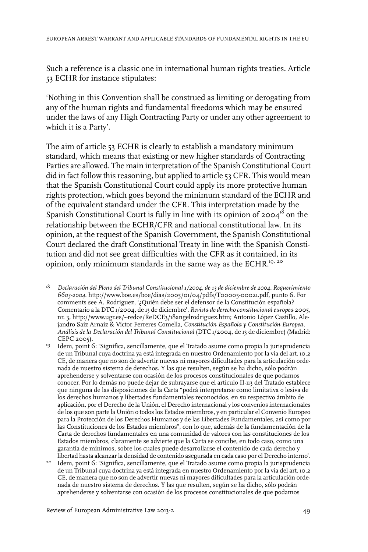Such a reference is a classic one in international human rights treaties. Article 53 ECHR for instance stipulates:

'Nothing in this Convention shall be construed as limiting or derogating from any of the human rights and fundamental freedoms which may be ensured under the laws of any High Contracting Party or under any other agreement to which it is a Party'.

The aim of article 53 ECHR is clearly to establish a mandatory minimum standard, which means that existing or new higher standards of Contracting Parties are allowed. The main interpretation of the Spanish Constitutional Court did in fact follow this reasoning, but applied to article 53 CFR. This would mean that the Spanish Constitutional Court could apply its more protective human rights protection, which goes beyond the minimum standard of the ECHR and of the equivalent standard under the CFR. This interpretation made by the Spanish Constitutional Court is fully in line with its opinion of  $2004^{18}$  on the relationship between the ECHR/CFR and national constitutional law. In its opinion, at the request of the Spanish Government, the Spanish Constitutional Court declared the draft Constitutional Treaty in line with the Spanish Constitution and did not see great difficulties with the CFR as it contained, in its opinion, only minimum standards in the same way as the ECHR.<sup>19, 20</sup>

Idem, point 6: 'Significa, sencillamente, que el Tratado asume como propia la jurisprudencia de un Tribunal cuya doctrina ya está integrada en nuestro Ordenamiento por la vía del art. 10.2 19 CE, de manera que no son de advertir nuevas ni mayores dificultades para la articulación ordenada de nuestro sistema de derechos. Y las que resulten, según se ha dicho, sólo podrán aprehenderse y solventarse con ocasión de los procesos constitucionales de que podamos conocer. Por lo demás no puede dejar de subrayarse que el artículo II-113 del Tratado establece que ninguna de las disposiciones de la Carta "podrá interpretarse como limitativa o lesiva de los derechos humanos y libertades fundamentales reconocidos, en su respectivo ámbito de aplicación, por el Derecho de la Unión, el Derecho internacional y los convenios internacionales de los que son parte la Unión o todos los Estados miembros, y en particular el Convenio Europeo para la Protección de los Derechos Humanos y de las Libertades Fundamentales, así como por las Constituciones de los Estados miembros", con lo que, además de la fundamentación de la Carta de derechos fundamentales en una comunidad de valores con las constituciones de los Estados miembros, claramente se advierte que la Carta se concibe, en todo caso, como una garantía de mínimos, sobre los cuales puede desarrollarse el contenido de cada derecho y libertad hasta alcanzarla densidad de contenido asegurada en cada caso por el Derecho interno'.

20 Idem, point 6: 'Significa, sencillamente, que el Tratado asume como propia la jurisprudencia de un Tribunal cuya doctrina ya está integrada en nuestro Ordenamiento por la vía del art. 10.2 CE, de manera que no son de advertir nuevas ni mayores dificultades para la articulación ordenada de nuestro sistema de derechos. Y las que resulten, según se ha dicho, sólo podrán aprehenderse y solventarse con ocasión de los procesos constitucionales de que podamos

*Declaración del Pleno del Tribunal Constitucional 1/2004, de13 de diciembre de 2004. Requerimiento 6603-2004*. http://www.boe.es/boe/dias/2005/01/04/pdfs/T00005-00021.pdf, punto 6. For 18 comments see A. Rodriguez, '¿Quién debe ser el defensor de la Constitución española? Comentario a la DTC 1/2004, de 13 de diciembre', *Revista de derecho constitucional europea* 2005, nr. 3, http://www.ugr.es/~redce/ReDCE3/18angelrodriguez.htm; Antonio López Castillo, Alejandro Saiz Arnaiz & Víctor Ferreres Comella, *Constitución Española y Constitución Europea, Análisis de la Declaración del Tribunal Constitucional* (DTC 1/2004, de 13 de diciembre) (Madrid: CEPC 2005).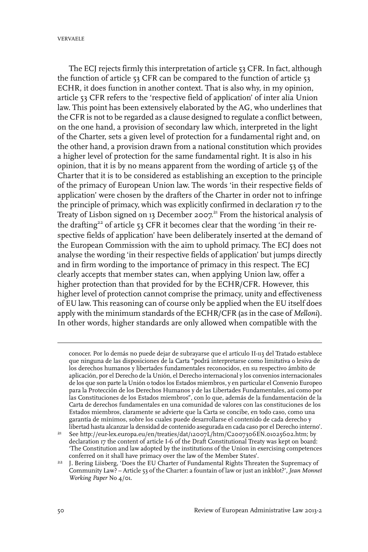The ECJ rejects firmly this interpretation of article 53 CFR. In fact, although the function of article 53 CFR can be compared to the function of article 53 ECHR, it does function in another context. That is also why, in my opinion, article 53 CFR refers to the 'respective field of application' of inter alia Union law. This point has been extensively elaborated by the AG, who underlines that the CFR is not to be regarded as a clause designed to regulate a conflict between, on the one hand, a provision of secondary law which, interpreted in the light of the Charter, sets a given level of protection for a fundamental right and, on the other hand, a provision drawn from a national constitution which provides a higher level of protection for the same fundamental right. It is also in his opinion, that it is by no means apparent from the wording of article 53 of the Charter that it is to be considered as establishing an exception to the principle of the primacy of European Union law. The words 'in their respective fields of application' were chosen by the drafters of the Charter in order not to infringe the principle of primacy, which was explicitly confirmed in declaration 17 to the Treaty of Lisbon signed on 13 December 2007.<sup>21</sup> From the historical analysis of the drafting<sup>22</sup> of article 53 CFR it becomes clear that the wording 'in their respective fields of application' have been deliberately inserted at the demand of the European Commission with the aim to uphold primacy. The ECJ does not analyse the wording 'in their respective fields of application' but jumps directly and in firm wording to the importance of primacy in this respect. The ECJ clearly accepts that member states can, when applying Union law, offer a higher protection than that provided for by the ECHR/CFR. However, this higher level of protection cannot comprise the primacy, unity and effectiveness of EU law. This reasoning can of course only be applied when the EU itself does apply with the minimum standards of the ECHR/CFR (as in the case of *Melloni*). In other words, higher standards are only allowed when compatible with the

conocer. Por lo demás no puede dejar de subrayarse que el artículo II-113 del Tratado establece que ninguna de las disposiciones de la Carta "podrá interpretarse como limitativa o lesiva de los derechos humanos y libertades fundamentales reconocidos, en su respectivo ámbito de aplicación, por el Derecho de la Unión, el Derecho internacional y los convenios internacionales de los que son parte la Unión o todos los Estados miembros, y en particular el Convenio Europeo para la Protección de los Derechos Humanos y de las Libertades Fundamentales, así como por las Constituciones de los Estados miembros", con lo que, además de la fundamentación de la Carta de derechos fundamentales en una comunidad de valores con las constituciones de los Estados miembros, claramente se advierte que la Carta se concibe, en todo caso, como una garantía de mínimos, sobre los cuales puede desarrollarse el contenido de cada derecho y libertad hasta alcanzarla densidad de contenido asegurada en cada caso por el Derecho interno'.

See http://eur-lex.europa.eu/en/treaties/dat/12007L/htm/C2007306EN.01025602.htm; by declaration 17 the content of article I-6 of the Draft Constitutional Treaty was kept on board: 21 'The Constitution and law adopted by the institutions of the Union in exercising competences conferred on it shall have primacy over the law of the Member States'.

<sup>&</sup>lt;sup>22</sup> J. Bering Liisberg, 'Does the EU Charter of Fundamental Rights Threaten the Supremacy of Community Law? – Article 53 of the Charter: a fountain of law or just an inkblot?', *Jean Monnet Working Paper* No 4/01.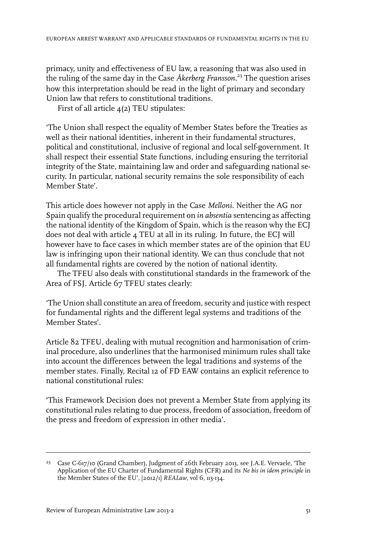primacy, unity and effectiveness of EU law, a reasoning that was also used in the ruling of the same day in the Case *Åkerberg Fransson.*<sup>23</sup> The question arises how this interpretation should be read in the light of primary and secondary Union law that refers to constitutional traditions.

First of all article  $\mathcal{A}(2)$  TEU stipulates:

'The Union shall respect the equality of Member States before the Treaties as well as their national identities, inherent in their fundamental structures, political and constitutional, inclusive of regional and local self-government. It shall respect their essential State functions, including ensuring the territorial integrity of the State, maintaining law and order and safeguarding national security. In particular, national security remains the sole responsibility of each Member State'.

This article does however not apply in the Case *Melloni*. Neither the AG nor Spain qualify the procedural requirement on *in absentia* sentencing as affecting the national identity of the Kingdom of Spain, which is the reason why the ECJ does not deal with article 4 TEU at all in its ruling. In future, the ECJ will however have to face cases in which member states are of the opinion that EU law is infringing upon their national identity. We can thus conclude that not all fundamental rights are covered by the notion of national identity.

The TFEU also deals with constitutional standards in the framework of the Area of FSJ. Article 67 TFEU states clearly:

'The Union shall constitute an area of freedom, security and justice with respect for fundamental rights and the different legal systems and traditions of the Member States'.

Article 82 TFEU, dealing with mutual recognition and harmonisation of criminal procedure, also underlines that the harmonised minimum rules shall take into account the differences between the legal traditions and systems of the member states. Finally, Recital 12 of FD EAW contains an explicit reference to national constitutional rules:

**'**This Framework Decision does not prevent a Member State from applying its constitutional rules relating to due process, freedom of association, freedom of the press and freedom of expression in other media'.

<sup>&</sup>lt;sup>23</sup> Case C-617/10 (Grand Chamber), Judgment of 26th February 2013, see J.A.E. Vervaele, 'The Application of the EU Charter of Fundamental Rights (CFR) and its *Ne bis in idem principle* in the Member States of the EU', [2012/1] *REALaw*, vol 6, 113-134.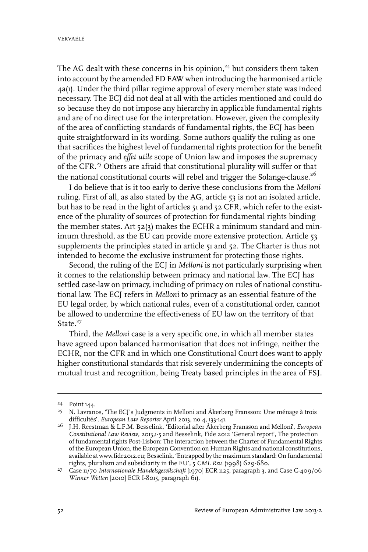The AG dealt with these concerns in his opinion,<sup>24</sup> but considers them taken into account by the amended FD EAW when introducing the harmonised article 4a(1). Under the third pillar regime approval of every member state was indeed necessary. The ECJ did not deal at all with the articles mentioned and could do so because they do not impose any hierarchy in applicable fundamental rights and are of no direct use for the interpretation. However, given the complexity of the area of conflicting standards of fundamental rights, the ECJ has been quite straightforward in its wording. Some authors qualify the ruling as one that sacrifices the highest level of fundamental rights protection for the benefit of the primacy and *effet utile* scope of Union law and imposes the supremacy of the CFR.<sup>25</sup> Others are afraid that constitutional plurality will suffer or that the national constitutional courts will rebel and trigger the Solange-clause.<sup>26</sup>

I do believe that is it too early to derive these conclusions from the *Melloni* ruling. First of all, as also stated by the AG, article 53 is not an isolated article, but has to be read in the light of articles 51 and 52 CFR, which refer to the existence of the plurality of sources of protection for fundamental rights binding the member states. Art 52(3) makes the ECHR a minimum standard and minimum threshold, as the EU can provide more extensive protection. Article 53 supplements the principles stated in article 51 and 52. The Charter is thus not intended to become the exclusive instrument for protecting those rights.

Second, the ruling of the ECJ in *Melloni* is not particularly surprising when it comes to the relationship between primacy and national law. The ECJ has settled case-law on primacy, including of primacy on rules of national constitutional law. The ECJ refers in *Melloni* to primacy as an essential feature of the EU legal order, by which national rules, even of a constitutional order, cannot be allowed to undermine the effectiveness of EU law on the territory of that State. $27$ 

Third, the *Melloni* case is a very specific one, in which all member states have agreed upon balanced harmonisation that does not infringe, neither the ECHR, nor the CFR and in which one Constitutional Court does want to apply higher constitutional standards that risk severely undermining the concepts of mutual trust and recognition, being Treaty based principles in the area of FSJ.

<sup>&</sup>lt;sup>24</sup> Point 144.

N. Lavranos, 'The ECJ's Judgments in Melloni and Åkerberg Fransson: Une ménage à trois 25 difficultés', *European Law Reporter* April 2013, no 4, 133-141.

<sup>&</sup>lt;sup>26</sup> J.H. Reestman & L.F.M. Besselink, 'Editorial after Åkerberg Fransson and Melloni', *European Constitutional Law Review*, 2013,1-5 and Besselink, Fide 2012 'General report', The protection of fundamental rights Post-Lisbon: The interaction between the Charter of Fundamental Rights of the European Union, the European Convention on Human Rights and national constitutions, available at www.fide2012.eu; Besselink, 'Entrapped by the maximum standard: On fundamental rights, pluralism and subsidiarity in the EU', 5 *CML Rev.* (1998) 629-680.

<sup>&</sup>lt;sup>27</sup> Case 11/70 *Internationale Handelsgesellschaft* [1970] ECR 1125, paragraph 3, and Case C-409/06 *Winner Wetten* [2010] ECR I-8015, paragraph 61).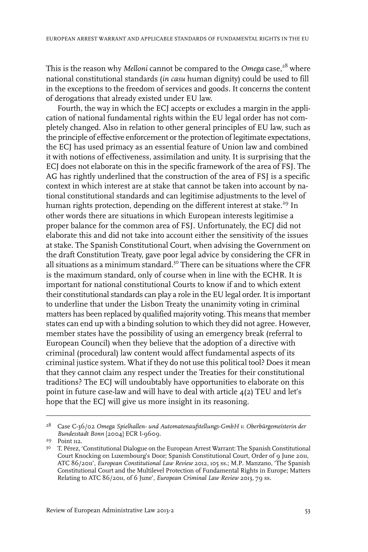This is the reason why *Melloni* cannot be compared to the *Omega* case,<sup>28</sup> where national constitutional standards (*in casu* human dignity) could be used to fill in the exceptions to the freedom of services and goods. It concerns the content of derogations that already existed under EU law.

Fourth, the way in which the ECJ accepts or excludes a margin in the application of national fundamental rights within the EU legal order has not completely changed. Also in relation to other general principles of EU law, such as the principle of effective enforcement or the protection of legitimate expectations, the ECJ has used primacy as an essential feature of Union law and combined it with notions of effectiveness, assimilation and unity. It is surprising that the ECJ does not elaborate on this in the specific framework of the area of FSJ. The AG has rightly underlined that the construction of the area of FSJ is a specific context in which interest are at stake that cannot be taken into account by national constitutional standards and can legitimise adjustments to the level of human rights protection, depending on the different interest at stake.<sup>29</sup> In other words there are situations in which European interests legitimise a proper balance for the common area of FSJ. Unfortunately, the ECJ did not elaborate this and did not take into account either the sensitivity of the issues at stake. The Spanish Constitutional Court, when advising the Government on the draft Constitution Treaty, gave poor legal advice by considering the CFR in all situations as a minimum standard.<sup>30</sup> There can be situations where the CFR is the maximum standard, only of course when in line with the ECHR. It is important for national constitutional Courts to know if and to which extent their constitutional standards can play a role in the EU legal order. It is important to underline that under the Lisbon Treaty the unanimity voting in criminal matters has been replaced by qualified majority voting. This means that member states can end up with a binding solution to which they did not agree. However, member states have the possibility of using an emergency break (referral to European Council) when they believe that the adoption of a directive with criminal (procedural) law content would affect fundamental aspects of its criminal justice system. What if they do not use this political tool? Does it mean that they cannot claim any respect under the Treaties for their constitutional traditions? The ECJ will undoubtably have opportunities to elaborate on this point in future case-law and will have to deal with article  $4(2)$  TEU and let's hope that the ECJ will give us more insight in its reasoning.

Case C-36/02 *Omega Spielhallen- und Automatenaufstellungs-GmbH v. Oberbürgemeísterin der* 28 *Bundesstadt Bonn* [2004] ECR I-9609.

<sup>&</sup>lt;sup>29</sup> Point 112.

<sup>&</sup>lt;sup>30</sup> T. Pérez, 'Constitutional Dialogue on the European Arrest Warrant: The Spanish Constitutional Court Knocking on Luxembourg's Door; Spanish Constitutional Court, Order of 9 June 2011, ATC 86/2011', *European Constitutional Law Review* 2012, 105 ss.; M.P. Manzano, 'The Spanish Constitutional Court and the Multilevel Protection of Fundamental Rights in Europe; Matters Relating to ATC 86/2011, of 6 June', *European Criminal Law Review* 2013, 79 ss.